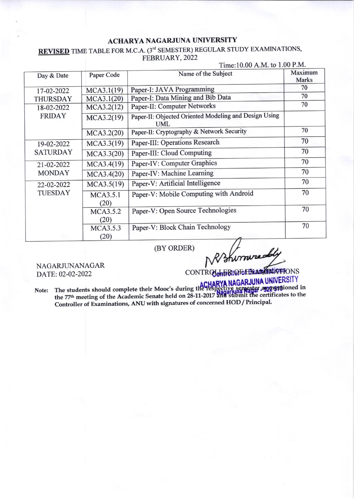## **ACHARYA NAGARJUNA UNIVERSITY**

**REVISED** TIME TABLE FOR M.C.A. (3<sup>rd</sup> SEMESTER) REGULAR STUDY EXAMINATIONS, FEBRUARY, 2022  $Time:10.00 A M to 1.00 P M$ 

|                               |                  | $1 \text{ line}, 10.00 \text{ A}$ . $1 \text{ W}$ . $1.00 \text{ T}$ . $1 \text{ W}$ . |                         |  |
|-------------------------------|------------------|----------------------------------------------------------------------------------------|-------------------------|--|
| Day & Date                    | Paper Code       | Name of the Subject                                                                    | Maximum<br><b>Marks</b> |  |
| 17-02-2022                    | MCA3.1(19)       | Paper-I: JAVA Programming                                                              | 70                      |  |
| <b>THURSDAY</b>               | MCA3.1(20)       | Paper-I: Data Mining and Bib Data                                                      | 70                      |  |
| 18-02-2022<br><b>FRIDAY</b>   | MCA3.2(12)       | Paper-II: Computer Networks                                                            | 70                      |  |
|                               | MCA3.2(19)       | Paper-II: Objected Oriented Modeling and Design Using<br><b>UML</b>                    |                         |  |
|                               | MCA3.2(20)       | Paper-II: Cryptography & Network Security                                              | 70                      |  |
| 19-02-2022<br><b>SATURDAY</b> | MCA3.3(19)       | Paper-III: Operations Research                                                         | 70                      |  |
|                               | MCA3.3(20)       | Paper-III: Cloud Computing                                                             | 70                      |  |
| 21-02-2022<br><b>MONDAY</b>   | MCA3.4(19)       | Paper-IV: Computer Graphics                                                            | 70                      |  |
|                               | MCA3.4(20)       | Paper-IV: Machine Learning                                                             | 70                      |  |
| 22-02-2022<br><b>TUESDAY</b>  | MCA3.5(19)       | Paper-V: Artificial Intelligence                                                       | 70                      |  |
|                               | MCA3.5.1<br>(20) | Paper-V: Mobile Computing with Android                                                 | 70                      |  |
|                               | MCA3.5.2<br>(20) | Paper-V: Open Source Technologies                                                      | 70                      |  |
|                               | MCA3.5.3<br>(20) | Paper-V: Block Chain Technology                                                        | 70                      |  |

(BY ORDER)

R/Shirraredly

NAGARJUNANAGAR DATE: 02-02-2022

Note: The students should complete their Mooc's during the Tespective semester as a DIVERSITY<br>the 77<sup>th</sup> meeting of the Academic Senate held on 28-11-2017 and stubmit the certificates to the Controller of Examinations, ANU with signatures of concerned HOD / Principal.